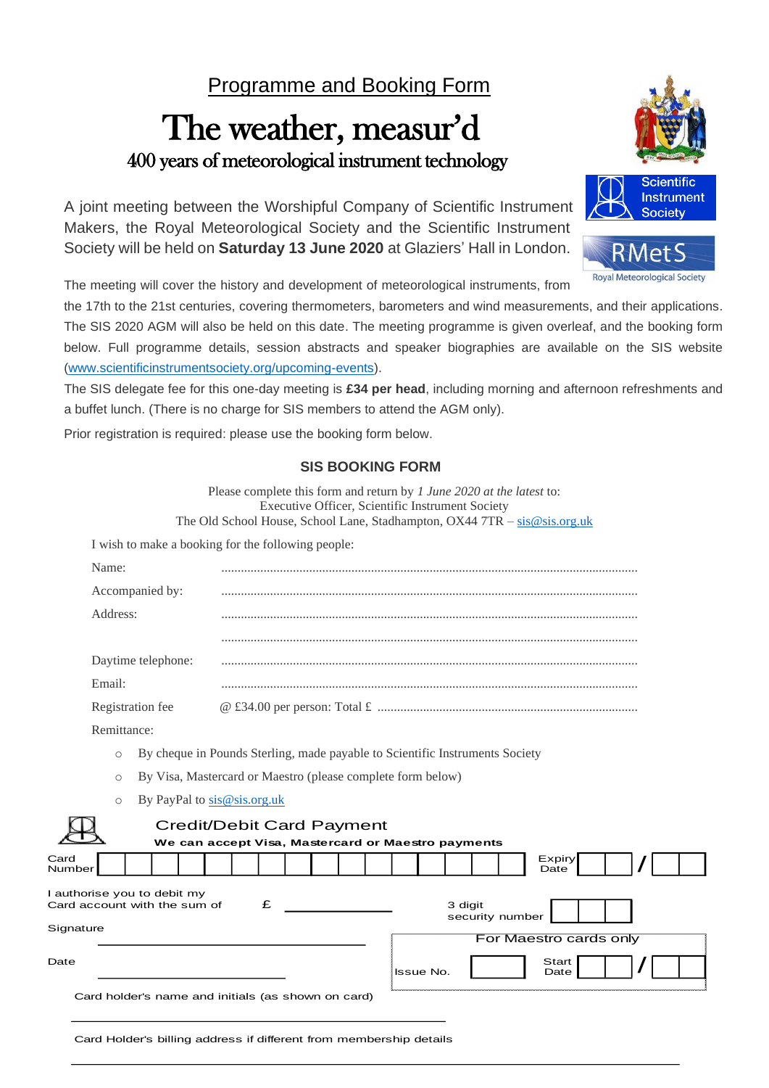## Programme and Booking Form

# The weather, measur'd 400 years of meteorological instrument technology

A joint meeting between the Worshipful Company of Scientific Instrument Makers, the Royal Meteorological Society and the Scientific Instrument Society will be held on **Saturday 13 June 2020** at Glaziers' Hall in London.

The meeting will cover the history and development of meteorological instruments, from

the 17th to the 21st centuries, covering thermometers, barometers and wind measurements, and their applications. The SIS 2020 AGM will also be held on this date. The meeting programme is given overleaf, and the booking form below. Full programme details, session abstracts and speaker biographies are available on the SIS website [\(www.scientificinstrumentsociety.org/upcoming-events\)](http://www.scientificinstrumentsociety.org/upcoming-events).

The SIS delegate fee for this one-day meeting is **£34 per head**, including morning and afternoon refreshments and a buffet lunch. (There is no charge for SIS members to attend the AGM only).

Prior registration is required: please use the booking form below.

#### **SIS BOOKING FORM**

Please complete this form and return by *1 June 2020 at the latest* to: Executive Officer, Scientific Instrument Society The Old School House, School Lane, Stadhampton, OX44 7TR - [sis@sis.org.uk](mailto:sis@sis.org.uk) I wish to make a booking for the following people: Name: ................................................................................................................................ Accompanied by: ................................................................................................................................ Address: ................................................................................................................................ ................................................................................................................................ Daytime telephone: ................................................................................................................................ Email: ................................................................................................................................ Registration fee @ £34.00 per person: Total £ ................................................................................ Remittance: o By cheque in Pounds Sterling, made payable to Scientific Instruments Society o By Visa, Mastercard or Maestro (please complete form below) o By PayPal t[o sis@sis.org.uk](mailto:sis@sis.org.uk) Credit/Debit Card Payment **We can accept Visa, Mastercard or Maestro payments** Numbe I authorise you to debit my Card account with the sum of  $\bf{E}$   $\bf{3}$  digit security number **Signature** For Maestro cards only Issue No. / / **Start** Date Expiry Date

Card holder's name and initials (as shown on card)

Card

Date

Card Holder's billing address if different from membership details



**Roval Meteorological Society**